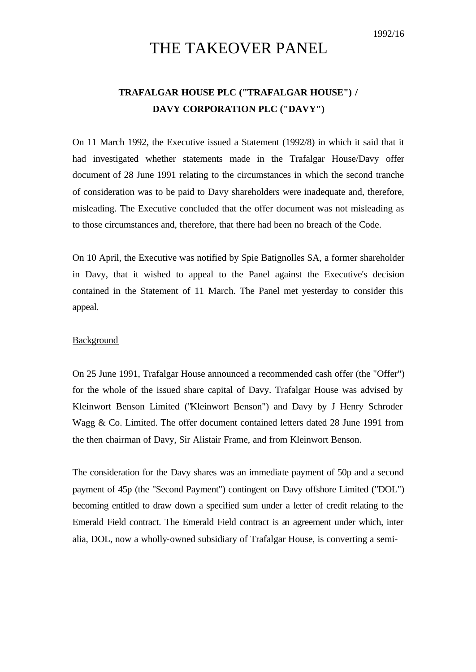# THE TAKEOVER PANEL

# **TRAFALGAR HOUSE PLC ("TRAFALGAR HOUSE") / DAVY CORPORATION PLC ("DAVY")**

On 11 March 1992, the Executive issued a Statement (1992/8) in which it said that it had investigated whether statements made in the Trafalgar House/Davy offer document of 28 June 1991 relating to the circumstances in which the second tranche of consideration was to be paid to Davy shareholders were inadequate and, therefore, misleading. The Executive concluded that the offer document was not misleading as to those circumstances and, therefore, that there had been no breach of the Code.

On 10 April, the Executive was notified by Spie Batignolles SA, a former shareholder in Davy, that it wished to appeal to the Panel against the Executive's decision contained in the Statement of 11 March. The Panel met yesterday to consider this appeal.

## **Background**

On 25 June 1991, Trafalgar House announced a recommended cash offer (the "Offer") for the whole of the issued share capital of Davy. Trafalgar House was advised by Kleinwort Benson Limited ("Kleinwort Benson") and Davy by J Henry Schroder Wagg & Co. Limited. The offer document contained letters dated 28 June 1991 from the then chairman of Davy, Sir Alistair Frame, and from Kleinwort Benson.

The consideration for the Davy shares was an immediate payment of 50p and a second payment of 45p (the "Second Payment") contingent on Davy offshore Limited ("DOL") becoming entitled to draw down a specified sum under a letter of credit relating to the Emerald Field contract. The Emerald Field contract is an agreement under which, inter alia, DOL, now a wholly-owned subsidiary of Trafalgar House, is converting a semi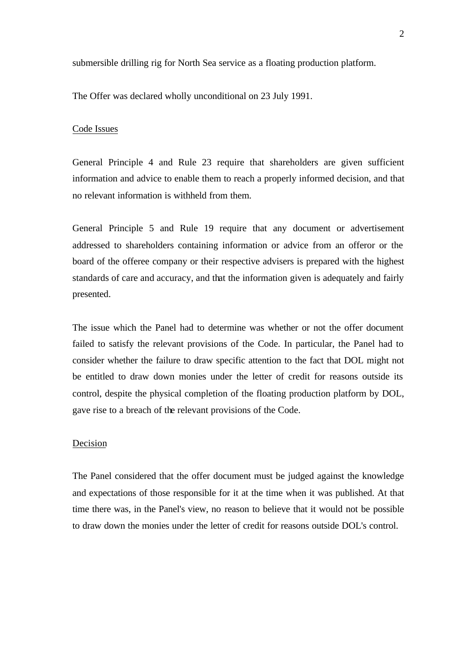submersible drilling rig for North Sea service as a floating production platform.

The Offer was declared wholly unconditional on 23 July 1991.

#### Code Issues

General Principle 4 and Rule 23 require that shareholders are given sufficient information and advice to enable them to reach a properly informed decision, and that no relevant information is withheld from them.

General Principle 5 and Rule 19 require that any document or advertisement addressed to shareholders containing information or advice from an offeror or the board of the offeree company or their respective advisers is prepared with the highest standards of care and accuracy, and that the information given is adequately and fairly presented.

The issue which the Panel had to determine was whether or not the offer document failed to satisfy the relevant provisions of the Code. In particular, the Panel had to consider whether the failure to draw specific attention to the fact that DOL might not be entitled to draw down monies under the letter of credit for reasons outside its control, despite the physical completion of the floating production platform by DOL, gave rise to a breach of the relevant provisions of the Code.

### Decision

The Panel considered that the offer document must be judged against the knowledge and expectations of those responsible for it at the time when it was published. At that time there was, in the Panel's view, no reason to believe that it would not be possible to draw down the monies under the letter of credit for reasons outside DOL's control.